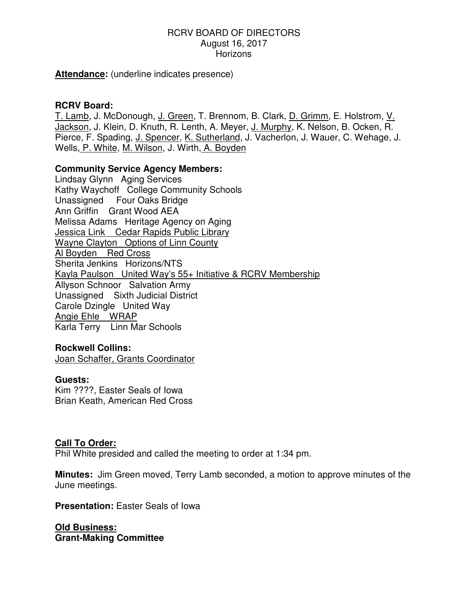### RCRV BOARD OF DIRECTORS August 16, 2017 **Horizons**

**Attendance:** (underline indicates presence)

## **RCRV Board:**

T. Lamb, J. McDonough, J. Green, T. Brennom, B. Clark, D. Grimm, E. Holstrom, V. Jackson, J. Klein, D. Knuth, R. Lenth, A. Meyer, J. Murphy, K. Nelson, B. Ocken, R. Pierce, F. Spading, J. Spencer, K. Sutherland, J. Vacherlon, J. Wauer, C. Wehage, J. Wells, P. White, M. Wilson, J. Wirth, A. Boyden

### **Community Service Agency Members:**

Lindsay Glynn Aging Services Kathy Waychoff College Community Schools Unassigned Four Oaks Bridge Ann Griffin Grant Wood AEA Melissa Adams Heritage Agency on Aging Jessica Link Cedar Rapids Public Library Wayne Clayton Options of Linn County Al Boyden Red Cross Sherita Jenkins Horizons/NTS Kayla Paulson United Way's 55+ Initiative & RCRV Membership Allyson Schnoor Salvation Army Unassigned Sixth Judicial District Carole Dzingle United Way Angie Ehle WRAP Karla Terry Linn Mar Schools

#### **Rockwell Collins:**

Joan Schaffer, Grants Coordinator

#### **Guests:**

Kim ????, Easter Seals of Iowa Brian Keath, American Red Cross

#### **Call To Order:**

Phil White presided and called the meeting to order at 1:34 pm.

**Minutes:** Jim Green moved, Terry Lamb seconded, a motion to approve minutes of the June meetings.

**Presentation:** Easter Seals of Iowa

**Old Business: Grant-Making Committee**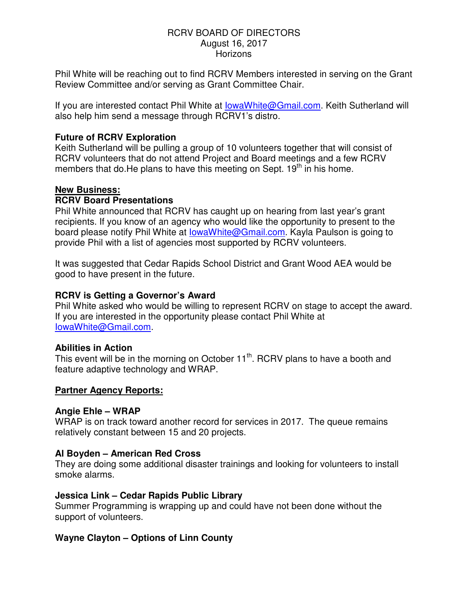### RCRV BOARD OF DIRECTORS August 16, 2017 **Horizons**

Phil White will be reaching out to find RCRV Members interested in serving on the Grant Review Committee and/or serving as Grant Committee Chair.

If you are interested contact Phil White at lowaWhite@Gmail.com. Keith Sutherland will also help him send a message through RCRV1's distro.

## **Future of RCRV Exploration**

Keith Sutherland will be pulling a group of 10 volunteers together that will consist of RCRV volunteers that do not attend Project and Board meetings and a few RCRV members that do. He plans to have this meeting on Sept.  $19<sup>th</sup>$  in his home.

## **New Business:**

## **RCRV Board Presentations**

Phil White announced that RCRV has caught up on hearing from last year's grant recipients. If you know of an agency who would like the opportunity to present to the board please notify Phil White at lowaWhite@Gmail.com. Kayla Paulson is going to provide Phil with a list of agencies most supported by RCRV volunteers.

It was suggested that Cedar Rapids School District and Grant Wood AEA would be good to have present in the future.

## **RCRV is Getting a Governor's Award**

Phil White asked who would be willing to represent RCRV on stage to accept the award. If you are interested in the opportunity please contact Phil White at IowaWhite@Gmail.com.

## **Abilities in Action**

This event will be in the morning on October  $11<sup>th</sup>$ . RCRV plans to have a booth and feature adaptive technology and WRAP.

## **Partner Agency Reports:**

#### **Angie Ehle – WRAP**

WRAP is on track toward another record for services in 2017. The queue remains relatively constant between 15 and 20 projects.

## **Al Boyden – American Red Cross**

They are doing some additional disaster trainings and looking for volunteers to install smoke alarms.

## **Jessica Link – Cedar Rapids Public Library**

Summer Programming is wrapping up and could have not been done without the support of volunteers.

## **Wayne Clayton – Options of Linn County**